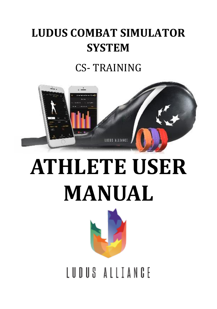# **LUDUS COMBAT SIMULATOR SYSTEM**

## CS- TRAINING



# **ATHLETE USER MANUAL**



IUDUS ALITANGE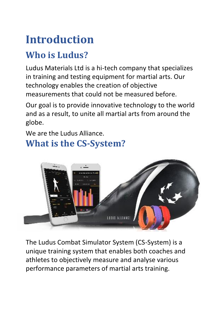# **Introduction**

### **Who is Ludus?**

Ludus Materials Ltd is a hi-tech company that specializes in training and testing equipment for martial arts. Our technology enables the creation of objective measurements that could not be measured before.

Our goal is to provide innovative technology to the world and as a result, to unite all martial arts from around the globe.

We are the Ludus Alliance.

#### **What is the CS-System?**



The Ludus Combat Simulator System (CS-System) is a unique training system that enables both coaches and athletes to objectively measure and analyse various performance parameters of martial arts training.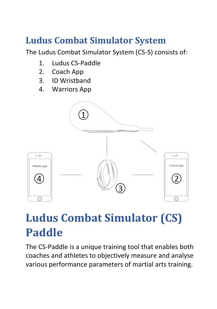### **Ludus Combat Simulator System**

The Ludus Combat Simulator System (CS-S) consists of:

- 1. Ludus CS-Paddle
- 2. Coach App
- 3. ID Wristband
- 4. Warriors App



## **Ludus Combat Simulator (CS) Paddle**

The CS-Paddle is a unique training tool that enables both coaches and athletes to objectively measure and analyse various performance parameters of martial arts training.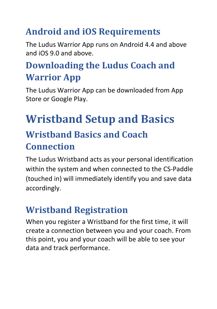## **Android and iOS Requirements**

The Ludus Warrior App runs on Android 4.4 and above and iOS 9.0 and above.

## **Downloading the Ludus Coach and Warrior App**

The Ludus Warrior App can be downloaded from App Store or Google Play.

## **Wristband Setup and Basics Wristband Basics and Coach Connection**

The Ludus Wristband acts as your personal identification within the system and when connected to the CS-Paddle (touched in) will immediately identify you and save data accordingly.

### **Wristband Registration**

When you register a Wristband for the first time, it will create a connection between you and your coach. From this point, you and your coach will be able to see your data and track performance.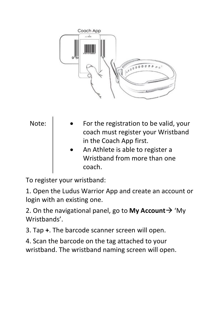



To register your wristband:

1. Open the Ludus Warrior App and create an account or login with an existing one.

2. On the navigational panel, go to **My Account**→ 'My Wristbands'.

3. Tap **+**. The barcode scanner screen will open.

4. Scan the barcode on the tag attached to your wristband. The wristband naming screen will open.